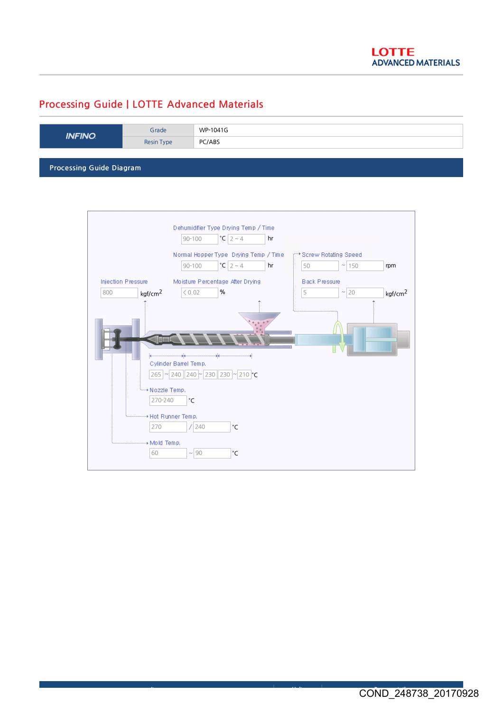## Processing Guide | LOTTE Advanced Materials

| <b>INFINO</b>            | Grade      | WP-1041G |  |  |
|--------------------------|------------|----------|--|--|
|                          | Resin Type | PC/ABS   |  |  |
|                          |            |          |  |  |
| Processing Guide Diagram |            |          |  |  |

Dehumidifier Type Drying Temp / Time 90-100  $\textdegree$  | 2 ~ 4 hr Normal Hopper Type Drying Temp / Time \*\* Screw Rotating Speed  $50$   $\sim$  150 90-100  $|{}^{\circ}C|2 \sim 4$  | hr | | 50 |  $\sim$  | 150 | rpm Injection Pressure Moisture Percentage After Drying Black Pressure 800  $\sqrt{0.02}$ %  $5$   $\sim$  20 kgf/cm<sup>2</sup>  $\vert$   $\langle 0.02 \vert$  %  $\vert$   $\vert$  5  $\vert$   $\sim$   $\vert$  20  $\vert$  kgf/cm<sup>2</sup> Cylinder Barrel Temp. 265 | ~ 240 | 240 |~ 230 | 230 |~ 210 | °C → Nozzle Temp. 270-240 °C \* Hot Runner Temp.  $\boxed{270}$  / $\boxed{240}$ °C + Mold Temp.  $60$   $\sim$  90 °C